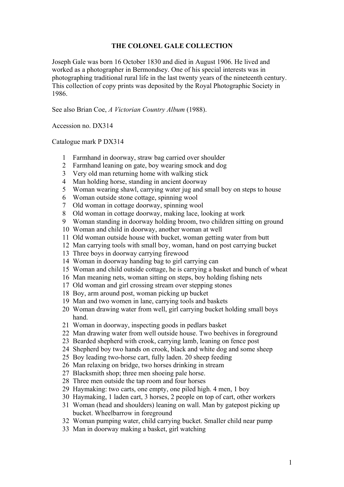## **THE COLONEL GALE COLLECTION**

Joseph Gale was born 16 October 1830 and died in August 1906. He lived and worked as a photographer in Bermondsey. One of his special interests was in photographing traditional rural life in the last twenty years of the nineteenth century. This collection of copy prints was deposited by the Royal Photographic Society in 1986.

See also Brian Coe, *A Victorian Country Album* (1988).

Accession no. DX314

Catalogue mark P DX314

- Farmhand in doorway, straw bag carried over shoulder
- Farmhand leaning on gate, boy wearing smock and dog
- Very old man returning home with walking stick
- Man holding horse, standing in ancient doorway
- Woman wearing shawl, carrying water jug and small boy on steps to house
- Woman outside stone cottage, spinning wool
- Old woman in cottage doorway, spinning wool
- Old woman in cottage doorway, making lace, looking at work
- Woman standing in doorway holding broom, two children sitting on ground
- Woman and child in doorway, another woman at well
- Old woman outside house with bucket, woman getting water from butt
- Man carrying tools with small boy, woman, hand on post carrying bucket
- Three boys in doorway carrying firewood
- Woman in doorway handing bag to girl carrying can
- Woman and child outside cottage, he is carrying a basket and bunch of wheat
- Man meaning nets, woman sitting on steps, boy holding fishing nets
- Old woman and girl crossing stream over stepping stones
- Boy, arm around post, woman picking up bucket
- Man and two women in lane, carrying tools and baskets
- Woman drawing water from well, girl carrying bucket holding small boys hand.
- Woman in doorway, inspecting goods in pedlars basket
- Man drawing water from well outside house. Two beehives in foreground
- Bearded shepherd with crook, carrying lamb, leaning on fence post
- Shepherd boy two hands on crook, black and white dog and some sheep
- Boy leading two-horse cart, fully laden. 20 sheep feeding
- Man relaxing on bridge, two horses drinking in stream
- Blacksmith shop; three men shoeing pale horse.
- Three men outside the tap room and four horses
- Haymaking: two carts, one empty, one piled high. 4 men, 1 boy
- Haymaking, 1 laden cart, 3 horses, 2 people on top of cart, other workers
- Woman (head and shoulders) leaning on wall. Man by gatepost picking up bucket. Wheelbarrow in foreground
- Woman pumping water, child carrying bucket. Smaller child near pump
- Man in doorway making a basket, girl watching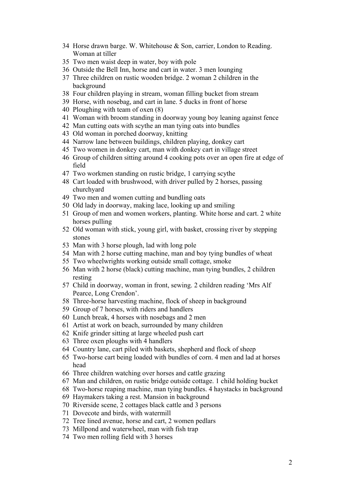- Horse drawn barge. W. Whitehouse & Son, carrier, London to Reading. Woman at tiller
- Two men waist deep in water, boy with pole
- Outside the Bell Inn, horse and cart in water. 3 men lounging
- Three children on rustic wooden bridge. 2 woman 2 children in the background
- Four children playing in stream, woman filling bucket from stream
- Horse, with nosebag, and cart in lane. 5 ducks in front of horse
- Ploughing with team of oxen (8)
- Woman with broom standing in doorway young boy leaning against fence
- Man cutting oats with scythe an man tying oats into bundles
- Old woman in porched doorway, knitting
- Narrow lane between buildings, children playing, donkey cart
- Two women in donkey cart, man with donkey cart in village street
- Group of children sitting around 4 cooking pots over an open fire at edge of field
- Two workmen standing on rustic bridge, 1 carrying scythe
- Cart loaded with brushwood, with driver pulled by 2 horses, passing churchyard
- Two men and women cutting and bundling oats
- Old lady in doorway, making lace, looking up and smiling
- Group of men and women workers, planting. White horse and cart. 2 white horses pulling
- Old woman with stick, young girl, with basket, crossing river by stepping stones
- Man with 3 horse plough, lad with long pole
- Man with 2 horse cutting machine, man and boy tying bundles of wheat
- Two wheelwrights working outside small cottage, smoke
- Man with 2 horse (black) cutting machine, man tying bundles, 2 children resting
- Child in doorway, woman in front, sewing. 2 children reading 'Mrs Alf Pearce, Long Crendon'.
- Three-horse harvesting machine, flock of sheep in background
- Group of 7 horses, with riders and handlers
- Lunch break, 4 horses with nosebags and 2 men
- Artist at work on beach, surrounded by many children
- Knife grinder sitting at large wheeled push cart
- Three oxen ploughs with 4 handlers
- Country lane, cart piled with baskets, shepherd and flock of sheep
- Two-horse cart being loaded with bundles of corn. 4 men and lad at horses head
- Three children watching over horses and cattle grazing
- Man and children, on rustic bridge outside cottage. 1 child holding bucket
- Two-horse reaping machine, man tying bundles. 4 haystacks in background
- Haymakers taking a rest. Mansion in background
- Riverside scene, 2 cottages black cattle and 3 persons
- Dovecote and birds, with watermill
- Tree lined avenue, horse and cart, 2 women pedlars
- Millpond and waterwheel, man with fish trap
- Two men rolling field with 3 horses